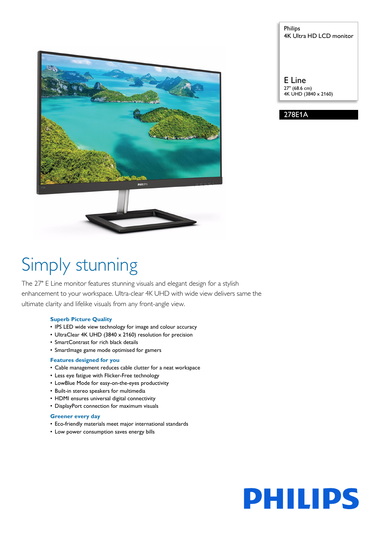

## Philips 4K Ultra HD LCD monitor

E Line 27" (68.6 cm) 4K UHD (3840 x 2160)

278E1A

# Simply stunning

The 27" E Line monitor features stunning visuals and elegant design for a stylish enhancement to your workspace. Ultra-clear 4K UHD with wide view delivers same the ultimate clarity and lifelike visuals from any front-angle view.

## **Superb Picture Quality**

- IPS LED wide view technology for image and colour accuracy
- UltraClear 4K UHD (3840 x 2160) resolution for precision
- SmartContrast for rich black details
- SmartImage game mode optimised for gamers

## **Features designed for you**

- Cable management reduces cable clutter for a neat workspace
- Less eye fatigue with Flicker-Free technology
- LowBlue Mode for easy-on-the-eyes productivity
- Built-in stereo speakers for multimedia
- HDMI ensures universal digital connectivity
- DisplayPort connection for maximum visuals

## **Greener every day**

- Eco-friendly materials meet major international standards
- Low power consumption saves energy bills

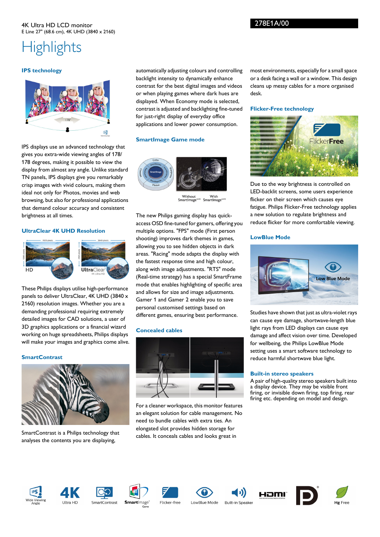## 4K Ultra HD LCD monitor E Line 27" (68.6 cm), 4K UHD (3840 x 2160)

## **Highlights**

## **IPS technology**



IPS displays use an advanced technology that gives you extra-wide viewing angles of 178/ 178 degrees, making it possible to view the display from almost any angle. Unlike standard TN panels, IPS displays give you remarkably crisp images with vivid colours, making them ideal not only for Photos, movies and web browsing, but also for professional applications that demand colour accuracy and consistent brightness at all times.

## **UltraClear 4K UHD Resolution**



These Philips displays utilise high-performance panels to deliver UltraClear, 4K UHD (3840 x 2160) resolution images. Whether you are a demanding professional requiring extremely detailed images for CAD solutions, a user of 3D graphics applications or a financial wizard working on huge spreadsheets, Philips displays will make your images and graphics come alive.

## **SmartContrast**



SmartContrast is a Philips technology that analyses the contents you are displaying,

automatically adjusting colours and controlling backlight intensity to dynamically enhance contrast for the best digital images and videos or when playing games where dark hues are displayed. When Economy mode is selected, contrast is adjusted and backlighting fine-tuned for just-right display of everyday office applications and lower power consumption.

## **SmartImage Game mode**



Without With<br>SmartImage<sup>GAME</sup> SmartImage<sup>6</sup>

The new Philips gaming display has quickaccess OSD fine-tuned for gamers, offering you multiple options. "FPS" mode (First person shooting) improves dark themes in games, allowing you to see hidden objects in dark areas. "Racing" mode adapts the display with the fastest response time and high colour, along with image adjustments. "RTS" mode (Real-time strategy) has a special SmartFrame mode that enables highlighting of specific area and allows for size and image adjustments. Gamer 1 and Gamer 2 enable you to save personal customised settings based on different games, ensuring best performance.

## **Concealed cables**



For a cleaner workspace, this monitor features an elegant solution for cable management. No need to bundle cables with extra ties. An elongated slot provides hidden storage for cables. It conceals cables and looks great in

most environments, especially for a small space or a desk facing a wall or a window. This design cleans up messy cables for a more organised desk.

### **Flicker-Free technology**



Due to the way brightness is controlled on LED-backlit screens, some users experience flicker on their screen which causes eye fatigue. Philips Flicker-Free technology applies a new solution to regulate brightness and reduce flicker for more comfortable viewing.

#### **LowBlue Mode**



Studies have shown that just as ultra-violet rays can cause eye damage, shortwave-length blue light rays from LED displays can cause eye damage and affect vision over time. Developed for wellbeing, the Philips LowBlue Mode setting uses a smart software technology to reduce harmful shortwave blue light.

#### **Built-in stereo speakers**

A pair of high-quality stereo speakers built into a display device. They may be visible front firing, or invisible down firing, top firing, rear firing etc. depending on model and design.